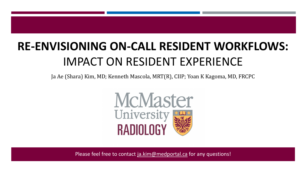# **RE-ENVISIONING ON-CALL RESIDENT WORKFLOWS:**  IMPACT ON RESIDENT EXPERIENCE

Ja Ae (Shara) Kim, MD; Kenneth Mascola, MRT(R), CIIP; Yoan K Kagoma, MD, FRCPC



Please feel free to contact [ja.kim@medportal.ca](mailto:ja.kim@medportal.ca) for any questions!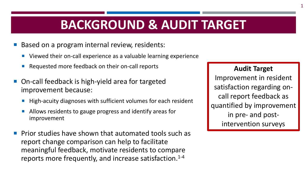## **BACKGROUND & AUDIT TARGET**

- Based on a program internal review, residents:
	- Viewed their on-call experience as a valuable learning experience
	- Requested more feedback on their on-call reports
- On-call feedback is high-yield area for targeted improvement because:
	- High-acuity diagnoses with sufficient volumes for each resident
	- Allows residents to gauge progress and identify areas for improvement
- Prior studies have shown that automated tools such as report change comparison can help to facilitate meaningful feedback, motivate residents to compare reports more frequently, and increase satisfaction.<sup>1-4</sup>

#### **Audit Target**

Improvement in resident satisfaction regarding oncall report feedback as quantified by improvement in pre- and postintervention surveys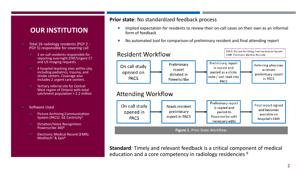#### **OUR INSTITUTION**

- Total 26 radiology residents (PGY 2 PGY 5) responsible for covering call
	- 2 on-call residents responsible for reporting overnight STAT/Urgent CT and US imaging requests
	- 4 hospital teaching sites within city, including pediatrics, trauma, and stroke centers. Coverage also includes 2 urgent care centers.
	- Tertiary referral site for Central West region of Ontario with total catchment population > 2.2 million
- Software Used
	- Picture Archiving Communication System (PACS): GE Centricity5
	- **Dictation/Voice Recognition:** Powerscribe 3606
	- **Electronic Medical Record (EMR):** Meditech<sup>7</sup> & Epic<sup>8</sup>

#### **Prior state**: No standardized feedback process

- Implied expectation for residents to review their on-call cases on their own as an informal form of feedback
- No automated tool for comparison of preliminary resident and final attending report



**Standard**: Timely and relevant feedback is a critical component of medical education and a core competency in radiology residencies <sup>9</sup>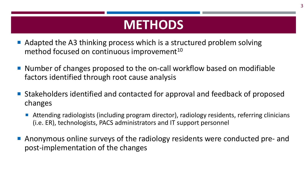### **METHODS**

- Adapted the A3 thinking process which is a structured problem solving method focused on continuous improvement<sup>10</sup>
- Number of changes proposed to the on-call workflow based on modifiable factors identified through root cause analysis
- Stakeholders identified and contacted for approval and feedback of proposed changes
	- Attending radiologists (including program director), radiology residents, referring clinicians (i.e. ER), technologists, PACS administrators and IT support personnel
- Anonymous online surveys of the radiology residents were conducted pre- and post-implementation of the changes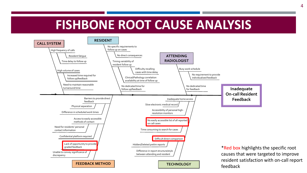### **FISHBONE ROOT CAUSE ANALYSIS**



4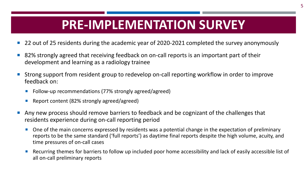## **PRE-IMPLEMENTATION SURVEY**

- 22 out of 25 residents during the academic year of 2020-2021 completed the survey anonymously
- 82% strongly agreed that receiving feedback on on-call reports is an important part of their development and learning as a radiology trainee
- Strong support from resident group to redevelop on-call reporting workflow in order to improve feedback on:
	- Follow-up recommendations (77% strongly agreed/agreed)
	- Report content (82% strongly agreed/agreed)
- Any new process should remove barriers to feedback and be cognizant of the challenges that residents experience during on-call reporting period
	- One of the main concerns expressed by residents was a potential change in the expectation of preliminary reports to be the same standard ('full reports') as daytime final reports despite the high volume, acuity, and time pressures of on-call cases
	- Recurring themes for barriers to follow up included poor home accessibility and lack of easily accessible list of all on-call preliminary reports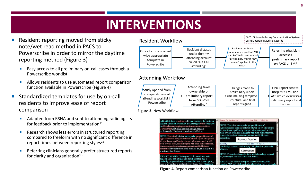### **INTERVENTIONS**

- Resident reporting moved from sticky note/wet read method in PACS to Powerscribe in order to mirror the daytime reporting method (Figure 3)
	- Easy access to all preliminary on-call cases through a Powerscribe worklist
	- Allows residents to use automated report comparison function available in Powerscribe (Figure 4)
- Standardized templates for use by on-call residents to improve ease of report comparison
	- Adapted from RSNA and sent to attending radiologists for feedback prior to implementation $11$
	- Research shows less errors in structured reporting compared to freeform with no significant difference in report times between reporting styles<sup>12</sup>
	- Referring clinicians generally prefer structured reports for clarity and organization<sup>13</sup>





**Figure 4.** Report comparison function on Powerscribe.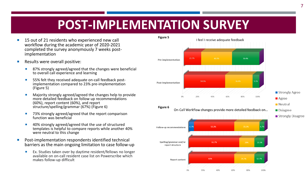## **POST-IMPLEMENTATION SURVEY**

- 15 out of 21 residents who experienced new call workflow during the academic year of 2020-2021 completed the survey anonymously 7 weeks post- implementation
- Results were overall positive:
	- 87% strongly agreed/agreed that the changes were beneficial to overall call experience and learning
	- 55% felt they received adequate on-call feedback post- implementation compared to 23% pre-implementation (Figure 5)
	- **Majority strongly agreed/agreed the changes help to provide** more detailed feedback on follow up recommendations (60%), report content (60%), and report structure/spelling/grammar (67%) (Figure 6)
	- 73% strongly agreed/agreed that the report comparison function was beneficial
	- 40% strongly agreed/agreed that the use of structured templates is helpful to compare reports while another 40% were neutral to this change
- Post-implementation respondents identified technical barriers as the main ongoing limitation to case follow-up
	- Ex. Studies taken over by daytime resident/fellows no longer available on on-call resident case list on Powerscribe which makes follow-up difficult

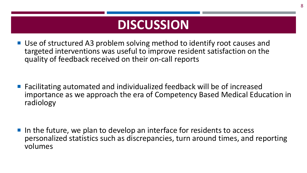## **DISCUSSION**

■ Use of structured A3 problem solving method to identify root causes and targeted interventions was useful to improve resident satisfaction on the quality of feedback received on their on-call reports

■ Facilitating automated and individualized feedback will be of increased importance as we approach the era of Competency Based Medical Education in radiology

I In the future, we plan to develop an interface for residents to access personalized statistics such as discrepancies, turn around times, and reporting volumes